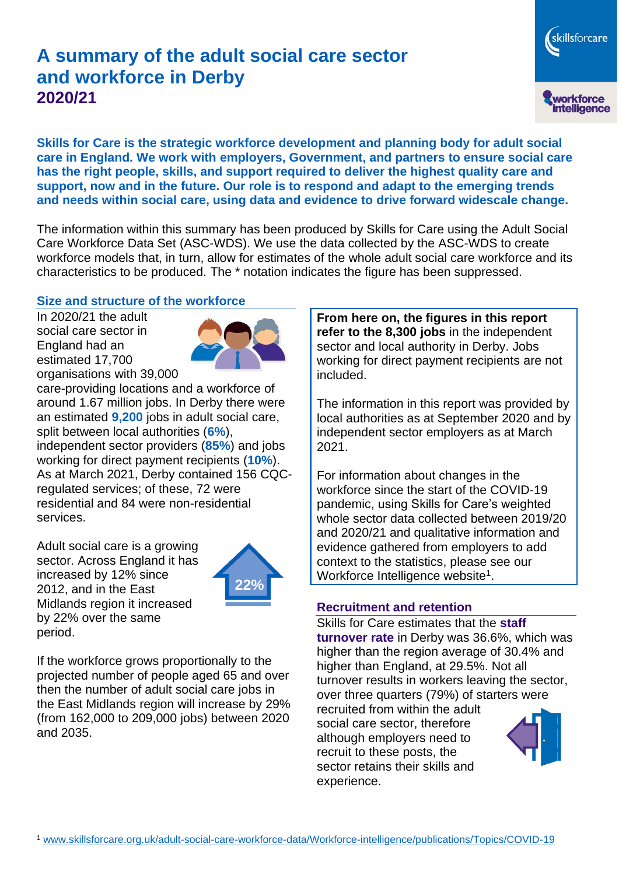# **A summary of the adult social care sector and workforce in Derby 2020/21**

workforce<br>intelligence

skillsforcare

**Skills for Care is the strategic workforce development and planning body for adult social care in England. We work with employers, Government, and partners to ensure social care has the right people, skills, and support required to deliver the highest quality care and support, now and in the future. Our role is to respond and adapt to the emerging trends and needs within social care, using data and evidence to drive forward widescale change.**

The information within this summary has been produced by Skills for Care using the Adult Social Care Workforce Data Set (ASC-WDS). We use the data collected by the ASC-WDS to create workforce models that, in turn, allow for estimates of the whole adult social care workforce and its characteristics to be produced. The \* notation indicates the figure has been suppressed.

#### **Size and structure of the workforce**

In 2020/21 the adult social care sector in England had an estimated 17,700 organisations with 39,000



care-providing locations and a workforce of around 1.67 million jobs. In Derby there were an estimated **9,200** jobs in adult social care, split between local authorities (**6%**), independent sector providers (**85%**) and jobs working for direct payment recipients (**10%**). As at March 2021, Derby contained 156 CQCregulated services; of these, 72 were residential and 84 were non-residential services.

Adult social care is a growing sector. Across England it has increased by 12% since 2012, and in the East Midlands region it increased by 22% over the same period.



If the workforce grows proportionally to the projected number of people aged 65 and over then the number of adult social care jobs in the East Midlands region will increase by 29% (from 162,000 to 209,000 jobs) between 2020 and 2035.

**From here on, the figures in this report refer to the 8,300 jobs** in the independent sector and local authority in Derby. Jobs working for direct payment recipients are not included.

The information in this report was provided by local authorities as at September 2020 and by independent sector employers as at March 2021.

For information about changes in the workforce since the start of the COVID-19 pandemic, using Skills for Care's weighted whole sector data collected between 2019/20 and 2020/21 and qualitative information and evidence gathered from employers to add context to the statistics, please see our Workforce Intelligence website<sup>1</sup>.

#### **Recruitment and retention**

Skills for Care estimates that the **staff turnover rate** in Derby was 36.6%, which was higher than the region average of 30.4% and higher than England, at 29.5%. Not all turnover results in workers leaving the sector, over three quarters (79%) of starters were recruited from within the adult

social care sector, therefore although employers need to recruit to these posts, the sector retains their skills and experience.

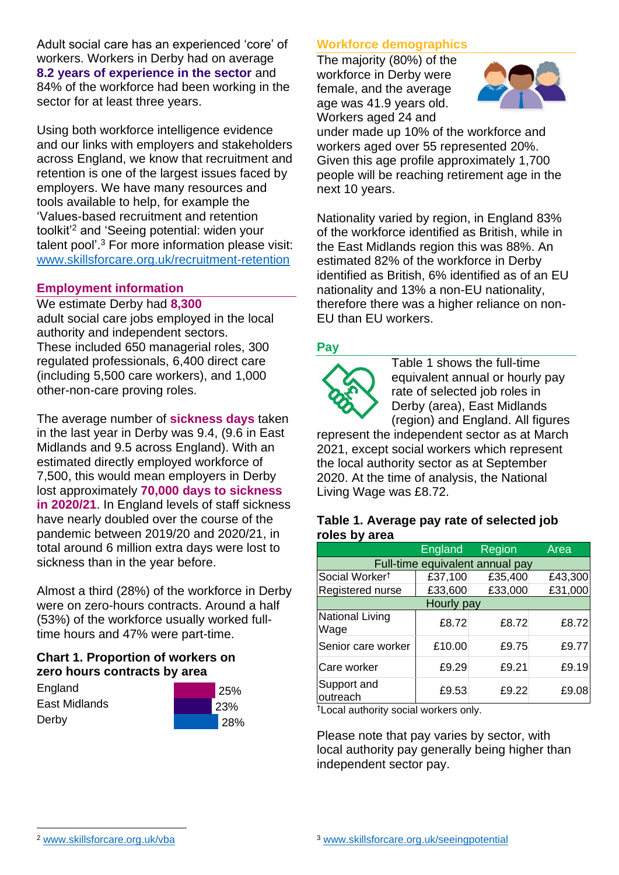Adult social care has an experienced 'core' of workers. Workers in Derby had on average **8.2 years of experience in the sector** and 84% of the workforce had been working in the sector for at least three years.

Using both workforce intelligence evidence and our links with employers and stakeholders across England, we know that recruitment and retention is one of the largest issues faced by employers. We have many resources and tools available to help, for example the 'Values-based recruitment and retention toolkit'<sup>2</sup> and 'Seeing potential: widen your talent pool'. <sup>3</sup> For more information please visit: [www.skillsforcare.org.uk/recruitment-retention](http://www.skillsforcare.org.uk/recruitment-retention)

#### **Employment information**

We estimate Derby had **8,300** adult social care jobs employed in the local authority and independent sectors. These included 650 managerial roles, 300 regulated professionals, 6,400 direct care (including 5,500 care workers), and 1,000 other-non-care proving roles.

The average number of **sickness days** taken in the last year in Derby was 9.4, (9.6 in East Midlands and 9.5 across England). With an estimated directly employed workforce of 7,500, this would mean employers in Derby lost approximately **70,000 days to sickness in 2020/21**. In England levels of staff sickness have nearly doubled over the course of the pandemic between 2019/20 and 2020/21, in total around 6 million extra days were lost to sickness than in the year before.

Almost a third (28%) of the workforce in Derby were on zero-hours contracts. Around a half (53%) of the workforce usually worked fulltime hours and 47% were part-time.

### **Chart 1. Proportion of workers on zero hours contracts by area**

**England** East Midlands Derby



### **Workforce demographics**

The majority (80%) of the workforce in Derby were female, and the average age was 41.9 years old. Workers aged 24 and



under made up 10% of the workforce and workers aged over 55 represented 20%. Given this age profile approximately 1,700 people will be reaching retirement age in the next 10 years.

Nationality varied by region, in England 83% of the workforce identified as British, while in the East Midlands region this was 88%. An estimated 82% of the workforce in Derby identified as British, 6% identified as of an EU nationality and 13% a non-EU nationality, therefore there was a higher reliance on non-EU than EU workers.

### **Pay**



Table 1 shows the full-time equivalent annual or hourly pay rate of selected job roles in Derby (area), East Midlands (region) and England. All figures

represent the independent sector as at March 2021, except social workers which represent the local authority sector as at September 2020. At the time of analysis, the National Living Wage was £8.72.

#### **Table 1. Average pay rate of selected job roles by area**

|                                 | England | Region  | Area    |
|---------------------------------|---------|---------|---------|
| Full-time equivalent annual pay |         |         |         |
| Social Worker <sup>t</sup>      | £37,100 | £35,400 | £43,300 |
| Registered nurse                | £33,600 | £33,000 | £31,000 |
| Hourly pay                      |         |         |         |
| National Living<br>Wage         | £8.72   | £8.72   | £8.72   |
| Senior care worker              | £10.00  | £9.75   | £9.77   |
| Care worker                     | £9.29   | £9.21   | £9.19   |
| Support and<br>outreach         | £9.53   | £9.22   | £9.08   |

†Local authority social workers only.

Please note that pay varies by sector, with local authority pay generally being higher than independent sector pay.

[www.skillsforcare.org.uk/vba](http://www.skillsforcare.org.uk/vba)